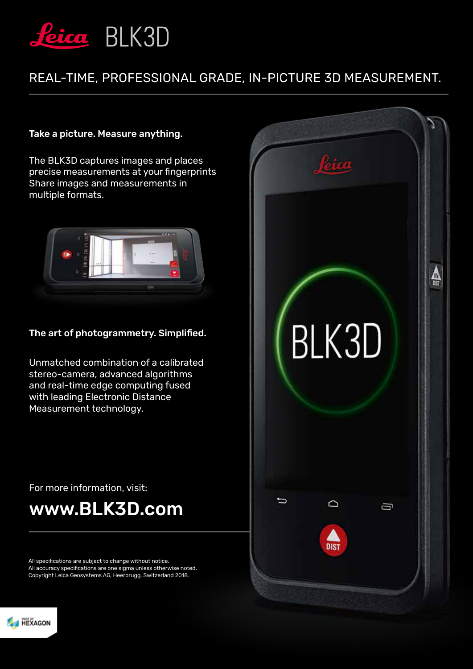

## REAL-TIME, PROFESSIONAL GRADE, IN-PICTURE 3D MEASUREMENT.

## Take a picture. Measure anything.

The BLK3D captures images and places precise measurements at your fingerprints Share images and measurements in multiple formats.



## The art of photogrammetry. Simplified.

Unmatched combination of a calibrated stereo-camera, advanced algorithms and real-time edge computing fused with leading Electronic Distance Measurement technology.



For more information, visit:

# www.BLK3D.com

All specifications are subject to change without notice. All accuracy specifications are one sigma unless otherwise noted. Copyright Leica Geosystems AG, Heerbrugg, Switzerland 2018.